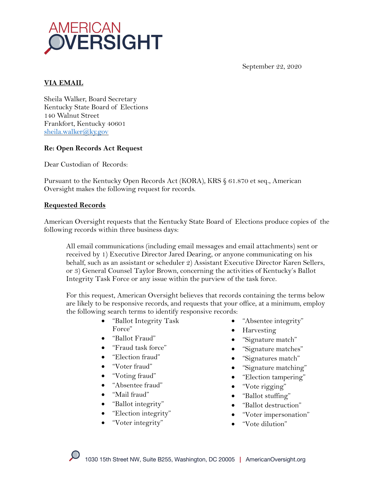

September 22, 2020

# **VIA EMAIL**

Sheila Walker, Board Secretary Kentucky State Board of Elections 140 Walnut Street Frankfort, Kentucky 40601 sheila.walker@ky.gov

### **Re: Open Records Act Request**

Dear Custodian of Records:

Pursuant to the Kentucky Open Records Act (KORA), KRS § 61.870 et seq., American Oversight makes the following request for records.

#### **Requested Records**

American Oversight requests that the Kentucky State Board of Elections produce copies of the following records within three business days:

All email communications (including email messages and email attachments) sent or received by 1) Executive Director Jared Dearing, or anyone communicating on his behalf, such as an assistant or scheduler 2) Assistant Executive Director Karen Sellers, or 3) General Counsel Taylor Brown, concerning the activities of Kentucky's Ballot Integrity Task Force or any issue within the purview of the task force.

For this request, American Oversight believes that records containing the terms below are likely to be responsive records, and requests that your office, at a minimum, employ the following search terms to identify responsive records:

- "Ballot Integrity Task Force"
- "Ballot Fraud"
- "Fraud task force"
- "Election fraud"
- "Voter fraud"
- "Voting fraud"
- "Absentee fraud"
- "Mail fraud"
- "Ballot integrity"
- "Election integrity"
- "Voter integrity"
- "Absentee integrity"
- Harvesting
- "Signature match"
- "Signature matches"
- "Signatures match"
- "Signature matching"
- "Election tampering"
- "Vote rigging"
- "Ballot stuffing"
- "Ballot destruction"
- "Voter impersonation"
- "Vote dilution"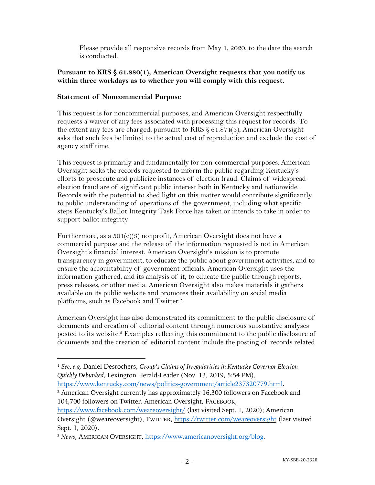Please provide all responsive records from May 1, 2020, to the date the search is conducted.

### **Pursuant to KRS § 61.880(1), American Oversight requests that you notify us within three workdays as to whether you will comply with this request.**

## **Statement of Noncommercial Purpose**

This request is for noncommercial purposes, and American Oversight respectfully requests a waiver of any fees associated with processing this request for records. To the extent any fees are charged, pursuant to KRS  $\S$  61.874(3), American Oversight asks that such fees be limited to the actual cost of reproduction and exclude the cost of agency staff time.

This request is primarily and fundamentally for non-commercial purposes. American Oversight seeks the records requested to inform the public regarding Kentucky's efforts to prosecute and publicize instances of election fraud. Claims of widespread election fraud are of significant public interest both in Kentucky and nationwide.1 Records with the potential to shed light on this matter would contribute significantly to public understanding of operations of the government, including what specific steps Kentucky's Ballot Integrity Task Force has taken or intends to take in order to support ballot integrity.

Furthermore, as a 501(c)(3) nonprofit, American Oversight does not have a commercial purpose and the release of the information requested is not in American Oversight's financial interest. American Oversight's mission is to promote transparency in government, to educate the public about government activities, and to ensure the accountability of government officials. American Oversight uses the information gathered, and its analysis of it, to educate the public through reports, press releases, or other media. American Oversight also makes materials it gathers available on its public website and promotes their availability on social media platforms, such as Facebook and Twitter.<sup>2</sup>

American Oversight has also demonstrated its commitment to the public disclosure of documents and creation of editorial content through numerous substantive analyses posted to its website.3 Examples reflecting this commitment to the public disclosure of documents and the creation of editorial content include the posting of records related

https://www.kentucky.com/news/politics-government/article237320779.html.

<sup>2</sup> American Oversight currently has approximately 16,300 followers on Facebook and 104,700 followers on Twitter. American Oversight, FACEBOOK,

<sup>1</sup> *See, e.g.* Daniel Desrochers, *Group's Claims of Irregularities in Kentucky Governor Election Quickly Debunked*, Lexington Herald-Leader (Nov. 13, 2019, 5:54 PM),

https://www.facebook.com/weareoversight/ (last visited Sept. 1, 2020); American Oversight (@weareoversight), TWITTER, https://twitter.com/weareoversight (last visited Sept. 1, 2020).

<sup>3</sup> *News*, AMERICAN OVERSIGHT, https://www.americanoversight.org/blog.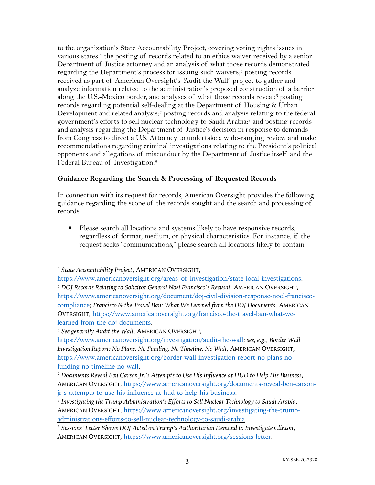to the organization's State Accountability Project, covering voting rights issues in various states;<sup>4</sup> the posting of records related to an ethics waiver received by a senior Department of Justice attorney and an analysis of what those records demonstrated regarding the Department's process for issuing such waivers;<sup>5</sup> posting records received as part of American Oversight's "Audit the Wall" project to gather and analyze information related to the administration's proposed construction of a barrier along the U.S.-Mexico border, and analyses of what those records reveal;<sup>6</sup> posting records regarding potential self-dealing at the Department of Housing & Urban Development and related analysis;7 posting records and analysis relating to the federal government's efforts to sell nuclear technology to Saudi Arabia;<sup>8</sup> and posting records and analysis regarding the Department of Justice's decision in response to demands from Congress to direct a U.S. Attorney to undertake a wide-ranging review and make recommendations regarding criminal investigations relating to the President's political opponents and allegations of misconduct by the Department of Justice itself and the Federal Bureau of Investigation.9

# **Guidance Regarding the Search & Processing of Requested Records**

In connection with its request for records, American Oversight provides the following guidance regarding the scope of the records sought and the search and processing of records:

■ Please search all locations and systems likely to have responsive records, regardless of format, medium, or physical characteristics. For instance, if the request seeks "communications," please search all locations likely to contain

<sup>4</sup> *State Accountability Project*, AMERICAN OVERSIGHT,

https://www.americanoversight.org/areas\_of\_investigation/state-local-investigations. <sup>5</sup> *DOJ Records Relating to Solicitor General Noel Francisco's Recusal*, AMERICAN OVERSIGHT, https://www.americanoversight.org/document/doj-civil-division-response-noel-franciscocompliance; *Francisco & the Travel Ban: What We Learned from the DOJ Documents*, AMERICAN OVERSIGHT, https://www.americanoversight.org/francisco-the-travel-ban-what-welearned-from-the-doj-documents.

<sup>6</sup> *See generally Audit the Wall*, AMERICAN OVERSIGHT,

https://www.americanoversight.org/investigation/audit-the-wall; *see, e.g.*, *Border Wall Investigation Report: No Plans, No Funding, No Timeline, No Wall*, AMERICAN OVERSIGHT, https://www.americanoversight.org/border-wall-investigation-report-no-plans-nofunding-no-timeline-no-wall.

<sup>7</sup> *Documents Reveal Ben Carson Jr.'s Attempts to Use His Influence at HUD to Help His Business*, AMERICAN OVERSIGHT, https://www.americanoversight.org/documents-reveal-ben-carsonjr-s-attempts-to-use-his-influence-at-hud-to-help-his-business.

<sup>8</sup> *Investigating the Trump Administration's Efforts to Sell Nuclear Technology to Saudi Arabia*, AMERICAN OVERSIGHT, https://www.americanoversight.org/investigating-the-trumpadministrations-efforts-to-sell-nuclear-technology-to-saudi-arabia.

<sup>9</sup> *Sessions' Letter Shows DOJ Acted on Trump's Authoritarian Demand to Investigate Clinton*, AMERICAN OVERSIGHT, https://www.americanoversight.org/sessions-letter.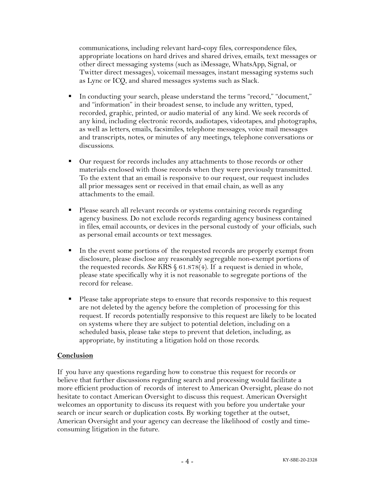communications, including relevant hard-copy files, correspondence files, appropriate locations on hard drives and shared drives, emails, text messages or other direct messaging systems (such as iMessage, WhatsApp, Signal, or Twitter direct messages), voicemail messages, instant messaging systems such as Lync or ICQ, and shared messages systems such as Slack.

- In conducting your search, please understand the terms "record," "document," and "information" in their broadest sense, to include any written, typed, recorded, graphic, printed, or audio material of any kind. We seek records of any kind, including electronic records, audiotapes, videotapes, and photographs, as well as letters, emails, facsimiles, telephone messages, voice mail messages and transcripts, notes, or minutes of any meetings, telephone conversations or discussions.
- Our request for records includes any attachments to those records or other materials enclosed with those records when they were previously transmitted. To the extent that an email is responsive to our request, our request includes all prior messages sent or received in that email chain, as well as any attachments to the email.
- Please search all relevant records or systems containing records regarding agency business. Do not exclude records regarding agency business contained in files, email accounts, or devices in the personal custody of your officials, such as personal email accounts or text messages.
- In the event some portions of the requested records are properly exempt from disclosure, please disclose any reasonably segregable non-exempt portions of the requested records. *See* KRS § 61.878(4). If a request is denied in whole, please state specifically why it is not reasonable to segregate portions of the record for release.
- Please take appropriate steps to ensure that records responsive to this request are not deleted by the agency before the completion of processing for this request. If records potentially responsive to this request are likely to be located on systems where they are subject to potential deletion, including on a scheduled basis, please take steps to prevent that deletion, including, as appropriate, by instituting a litigation hold on those records.

#### **Conclusion**

If you have any questions regarding how to construe this request for records or believe that further discussions regarding search and processing would facilitate a more efficient production of records of interest to American Oversight, please do not hesitate to contact American Oversight to discuss this request. American Oversight welcomes an opportunity to discuss its request with you before you undertake your search or incur search or duplication costs. By working together at the outset, American Oversight and your agency can decrease the likelihood of costly and timeconsuming litigation in the future.